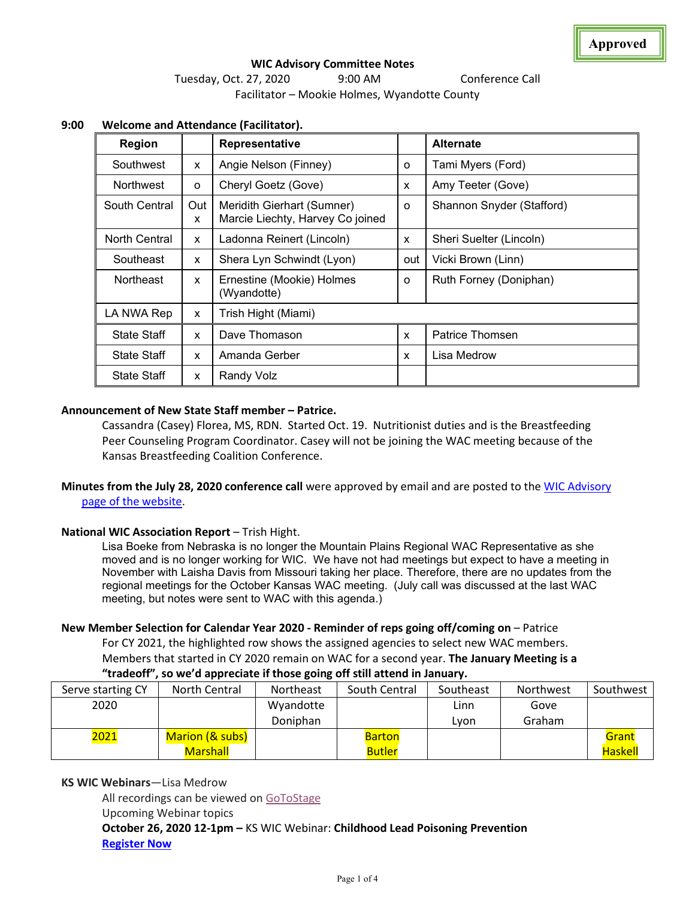# **WIC Advisory Committee Notes**  Tuesday, Oct. 27, 2020 9:00 AM Conference Call Facilitator – Mookie Holmes, Wyandotte County

| Region             |          | <b>Representative</b>                                          |          | <b>Alternate</b>          |  |
|--------------------|----------|----------------------------------------------------------------|----------|---------------------------|--|
| Southwest          | x        | Angie Nelson (Finney)                                          | $\circ$  | Tami Myers (Ford)         |  |
| Northwest          | o        | Cheryl Goetz (Gove)                                            | X        | Amy Teeter (Gove)         |  |
| South Central      | Out<br>X | Meridith Gierhart (Sumner)<br>Marcie Liechty, Harvey Co joined | $\Omega$ | Shannon Snyder (Stafford) |  |
| North Central      | X        | Ladonna Reinert (Lincoln)                                      | X        | Sheri Suelter (Lincoln)   |  |
| Southeast          | X        | Shera Lyn Schwindt (Lyon)                                      | out      | Vicki Brown (Linn)        |  |
| <b>Northeast</b>   | X        | Ernestine (Mookie) Holmes<br>(Wyandotte)                       | $\Omega$ | Ruth Forney (Doniphan)    |  |
| LA NWA Rep         | X        | Trish Hight (Miami)                                            |          |                           |  |
| <b>State Staff</b> | X        | Dave Thomason                                                  | X        | Patrice Thomsen           |  |
| <b>State Staff</b> | X        | Amanda Gerber                                                  | x        | Lisa Medrow               |  |
| <b>State Staff</b> | X        | Randy Volz                                                     |          |                           |  |

# **9:00 Welcome and Attendance (Facilitator).**

### **Announcement of New State Staff member – Patrice.**

Cassandra (Casey) Florea, MS, RDN. Started Oct. 19. Nutritionist duties and is the Breastfeeding Peer Counseling Program Coordinator. Casey will not be joining the WAC meeting because of the Kansas Breastfeeding Coalition Conference.

**Minutes from the July 28, 2020 conference call** were approved by email and are posted to the [WIC Advisory](http://www.kansaswic.org/local_agencies/WIC_advisory_comm.html)  [page of the website.](http://www.kansaswic.org/local_agencies/WIC_advisory_comm.html)

### **National WIC Association Report** – Trish Hight.

Lisa Boeke from Nebraska is no longer the Mountain Plains Regional WAC Representative as she moved and is no longer working for WIC. We have not had meetings but expect to have a meeting in November with Laisha Davis from Missouri taking her place. Therefore, there are no updates from the regional meetings for the October Kansas WAC meeting. (July call was discussed at the last WAC meeting, but notes were sent to WAC with this agenda.)

### **New Member Selection for Calendar Year 2020 - Reminder of reps going off/coming on** – Patrice

For CY 2021, the highlighted row shows the assigned agencies to select new WAC members. Members that started in CY 2020 remain on WAC for a second year. **The January Meeting is a "tradeoff", so we'd appreciate if those going off still attend in January.**

| Serve starting CY | North Central   | Northeast | South Central | Southeast | Northwest | Southwest      |
|-------------------|-----------------|-----------|---------------|-----------|-----------|----------------|
| 2020              |                 | Wyandotte |               | Linn      | Gove      |                |
|                   |                 | Doniphan  |               | Lvon      | Graham    |                |
| 2021              | Marion (& subs) |           | <b>Barton</b> |           |           | Grant          |
|                   | <b>Marshall</b> |           | <b>Butler</b> |           |           | <b>Haskell</b> |

**KS WIC Webinars**—Lisa Medrow

All recordings can be viewed on [GoToStage](https://gcc01.safelinks.protection.outlook.com/?url=https%3A%2F%2Fwww.gotostage.com%2Fchannel%2Fc0b1a1026a014205b3c0441d39b11e4a&data=04%7C01%7CPatrice.Thomsen%40ks.gov%7C1dc99670d8a945a25dc808d876943a36%7Cdcae8101c92d480cbc43c6761ccccc5a%7C0%7C0%7C637389726293450286%7CUnknown%7CTWFpbGZsb3d8eyJWIjoiMC4wLjAwMDAiLCJQIjoiV2luMzIiLCJBTiI6Ik1haWwiLCJXVCI6Mn0%3D%7C1000&sdata=pkRLPdt2RlS%2FuvZr3oh0qImcnnY4o3SQt5ycTaVHSt4%3D&reserved=0)

Upcoming Webinar topics

**October 26, 2020 12-1pm –** KS WIC Webinar: **Childhood Lead Poisoning Prevention [Register Now](https://gcc01.safelinks.protection.outlook.com/?url=https%3A%2F%2Fattendee.gotowebinar.com%2Fregister%2F4826303399664682510&data=04%7C01%7CPatrice.Thomsen%40ks.gov%7C1dc99670d8a945a25dc808d876943a36%7Cdcae8101c92d480cbc43c6761ccccc5a%7C0%7C0%7C637389726293450286%7CUnknown%7CTWFpbGZsb3d8eyJWIjoiMC4wLjAwMDAiLCJQIjoiV2luMzIiLCJBTiI6Ik1haWwiLCJXVCI6Mn0%3D%7C1000&sdata=4l08AjLiSOKrD%2FClwewd%2FRzA268BaRqMKtyVIpRQSuA%3D&reserved=0)**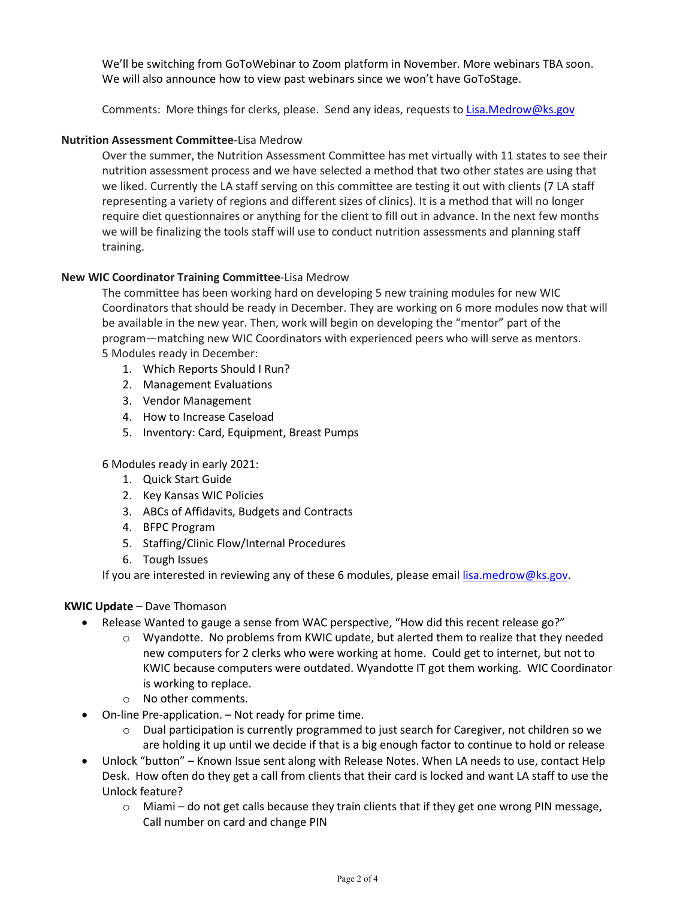We'll be switching from GoToWebinar to Zoom platform in November. More webinars TBA soon. We will also announce how to view past webinars since we won't have GoToStage.

Comments: More things for clerks, please. Send any ideas, requests to [Lisa.Medrow@ks.gov](mailto:Lisa.Medrow@ks.gov)

### **Nutrition Assessment Committee**-Lisa Medrow

Over the summer, the Nutrition Assessment Committee has met virtually with 11 states to see their nutrition assessment process and we have selected a method that two other states are using that we liked. Currently the LA staff serving on this committee are testing it out with clients (7 LA staff representing a variety of regions and different sizes of clinics). It is a method that will no longer require diet questionnaires or anything for the client to fill out in advance. In the next few months we will be finalizing the tools staff will use to conduct nutrition assessments and planning staff training.

### **New WIC Coordinator Training Committee**-Lisa Medrow

The committee has been working hard on developing 5 new training modules for new WIC Coordinators that should be ready in December. They are working on 6 more modules now that will be available in the new year. Then, work will begin on developing the "mentor" part of the program—matching new WIC Coordinators with experienced peers who will serve as mentors. 5 Modules ready in December:

- 1. Which Reports Should I Run?
- 2. Management Evaluations
- 3. Vendor Management
- 4. How to Increase Caseload
- 5. Inventory: Card, Equipment, Breast Pumps

6 Modules ready in early 2021:

- 1. Quick Start Guide
- 2. Key Kansas WIC Policies
- 3. ABCs of Affidavits, Budgets and Contracts
- 4. BFPC Program
- 5. Staffing/Clinic Flow/Internal Procedures
- 6. Tough Issues

If you are interested in reviewing any of these 6 modules, please emai[l lisa.medrow@ks.gov.](mailto:lisa.medrow@ks.gov)

### **KWIC Update** – Dave Thomason

- Release Wanted to gauge a sense from WAC perspective, "How did this recent release go?"
	- $\circ$  Wyandotte. No problems from KWIC update, but alerted them to realize that they needed new computers for 2 clerks who were working at home. Could get to internet, but not to KWIC because computers were outdated. Wyandotte IT got them working. WIC Coordinator is working to replace.
	- o No other comments.
- On-line Pre-application. Not ready for prime time.
	- o Dual participation is currently programmed to just search for Caregiver, not children so we are holding it up until we decide if that is a big enough factor to continue to hold or release
- Unlock "button" Known Issue sent along with Release Notes. When LA needs to use, contact Help Desk. How often do they get a call from clients that their card is locked and want LA staff to use the Unlock feature?
	- $\circ$  Miami do not get calls because they train clients that if they get one wrong PIN message, Call number on card and change PIN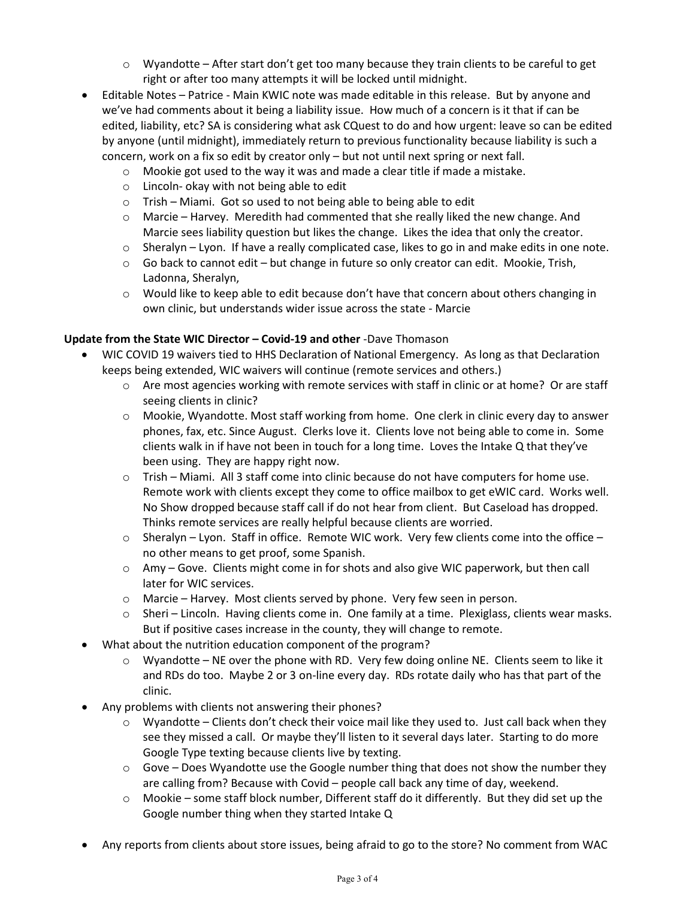- $\circ$  Wyandotte After start don't get too many because they train clients to be careful to get right or after too many attempts it will be locked until midnight.
- Editable Notes Patrice Main KWIC note was made editable in this release. But by anyone and we've had comments about it being a liability issue. How much of a concern is it that if can be edited, liability, etc? SA is considering what ask CQuest to do and how urgent: leave so can be edited by anyone (until midnight), immediately return to previous functionality because liability is such a concern, work on a fix so edit by creator only – but not until next spring or next fall.
	- $\circ$  Mookie got used to the way it was and made a clear title if made a mistake.
	- o Lincoln- okay with not being able to edit
	- o Trish Miami. Got so used to not being able to being able to edit
	- $\circ$  Marcie Harvey. Meredith had commented that she really liked the new change. And Marcie sees liability question but likes the change. Likes the idea that only the creator.
	- $\circ$  Sheralyn Lyon. If have a really complicated case, likes to go in and make edits in one note.
	- $\circ$  Go back to cannot edit but change in future so only creator can edit. Mookie, Trish, Ladonna, Sheralyn,
	- $\circ$  Would like to keep able to edit because don't have that concern about others changing in own clinic, but understands wider issue across the state - Marcie

### **Update from the State WIC Director – Covid-19 and other** -Dave Thomason

- WIC COVID 19 waivers tied to HHS Declaration of National Emergency. As long as that Declaration keeps being extended, WIC waivers will continue (remote services and others.)
	- $\circ$  Are most agencies working with remote services with staff in clinic or at home? Or are staff seeing clients in clinic?
	- o Mookie, Wyandotte. Most staff working from home. One clerk in clinic every day to answer phones, fax, etc. Since August. Clerks love it. Clients love not being able to come in. Some clients walk in if have not been in touch for a long time. Loves the Intake Q that they've been using. They are happy right now.
	- o Trish Miami. All 3 staff come into clinic because do not have computers for home use. Remote work with clients except they come to office mailbox to get eWIC card. Works well. No Show dropped because staff call if do not hear from client. But Caseload has dropped. Thinks remote services are really helpful because clients are worried.
	- $\circ$  Sheralyn Lyon. Staff in office. Remote WIC work. Very few clients come into the office no other means to get proof, some Spanish.
	- o Amy Gove. Clients might come in for shots and also give WIC paperwork, but then call later for WIC services.
	- o Marcie Harvey. Most clients served by phone. Very few seen in person.
	- $\circ$  Sheri Lincoln. Having clients come in. One family at a time. Plexiglass, clients wear masks. But if positive cases increase in the county, they will change to remote.
- What about the nutrition education component of the program?
	- $\circ$  Wyandotte NE over the phone with RD. Very few doing online NE. Clients seem to like it and RDs do too. Maybe 2 or 3 on-line every day. RDs rotate daily who has that part of the clinic.
- Any problems with clients not answering their phones?
	- $\circ$  Wyandotte Clients don't check their voice mail like they used to. Just call back when they see they missed a call. Or maybe they'll listen to it several days later. Starting to do more Google Type texting because clients live by texting.
	- o Gove Does Wyandotte use the Google number thing that does not show the number they are calling from? Because with Covid – people call back any time of day, weekend.
	- $\circ$  Mookie some staff block number, Different staff do it differently. But they did set up the Google number thing when they started Intake Q
- Any reports from clients about store issues, being afraid to go to the store? No comment from WAC